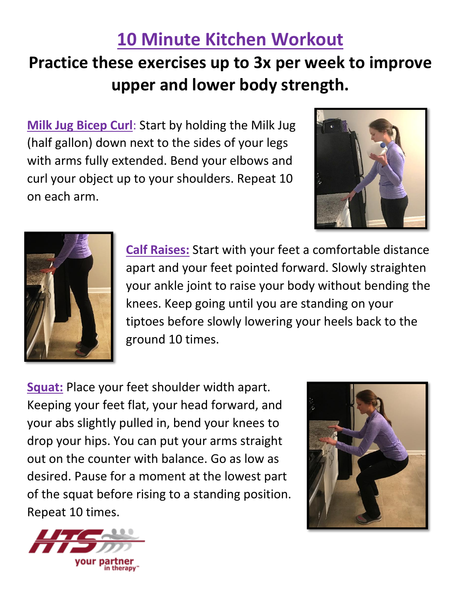## **10 Minute Kitchen Workout**

## **Practice these exercises up to 3x per week to improve upper and lower body strength.**

**Milk Jug Bicep Curl**: Start by holding the Milk Jug (half gallon) down next to the sides of your legs with arms fully extended. Bend your elbows and curl your object up to your shoulders. Repeat 10 on each arm.





**Calf Raises:** Start with your feet a comfortable distance apart and your feet pointed forward. Slowly straighten your ankle joint to raise your body without bending the knees. Keep going until you are standing on your tiptoes before slowly lowering your heels back to the ground 10 times.

**Squat:** Place your feet shoulder width apart. Keeping your feet flat, your head forward, and your abs slightly pulled in, bend your knees to drop your hips. You can put your arms straight out on the counter with balance. Go as low as desired. Pause for a moment at the lowest part of the squat before rising to a standing position. Repeat 10 times.